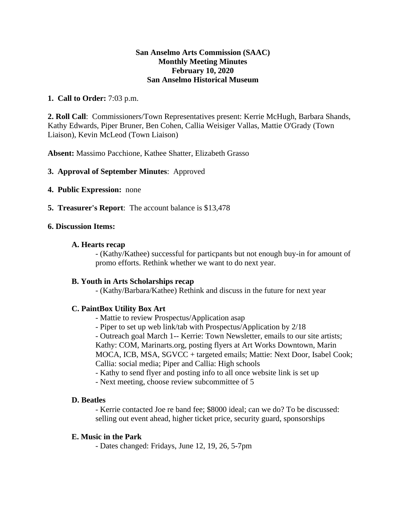### **San Anselmo Arts Commission (SAAC) Monthly Meeting Minutes February 10, 2020 San Anselmo Historical Museum**

# **1. Call to Order:** 7:03 p.m.

**2. Roll Call**: Commissioners/Town Representatives present: Kerrie McHugh, Barbara Shands, Kathy Edwards, Piper Bruner, Ben Cohen, Callia Weisiger Vallas, Mattie O'Grady (Town Liaison), Kevin McLeod (Town Liaison)

**Absent:** Massimo Pacchione, Kathee Shatter, Elizabeth Grasso

**3. Approval of September Minutes**: Approved

- **4. Public Expression:** none
- **5. Treasurer's Report**: The account balance is \$13,478

#### **6. Discussion Items:**

#### **A. Hearts recap**

- (Kathy/Kathee) successful for particpants but not enough buy-in for amount of promo efforts. Rethink whether we want to do next year.

#### **B. Youth in Arts Scholarships recap**

- (Kathy/Barbara/Kathee) Rethink and discuss in the future for next year

#### **C. PaintBox Utility Box Art**

- Mattie to review Prospectus/Application asap
- Piper to set up web link/tab with Prospectus/Application by 2/18

- Outreach goal March 1-- Kerrie: Town Newsletter, emails to our site artists; Kathy: COM, Marinarts.org, posting flyers at Art Works Downtown, Marin MOCA, ICB, MSA, SGVCC + targeted emails; Mattie: Next Door, Isabel Cook; Callia: social media; Piper and Callia: High schools

- Kathy to send flyer and posting info to all once website link is set up
- Next meeting, choose review subcommittee of 5

#### **D. Beatles**

- Kerrie contacted Joe re band fee; \$8000 ideal; can we do? To be discussed: selling out event ahead, higher ticket price, security guard, sponsorships

#### **E. Music in the Park**

- Dates changed: Fridays, June 12, 19, 26, 5-7pm